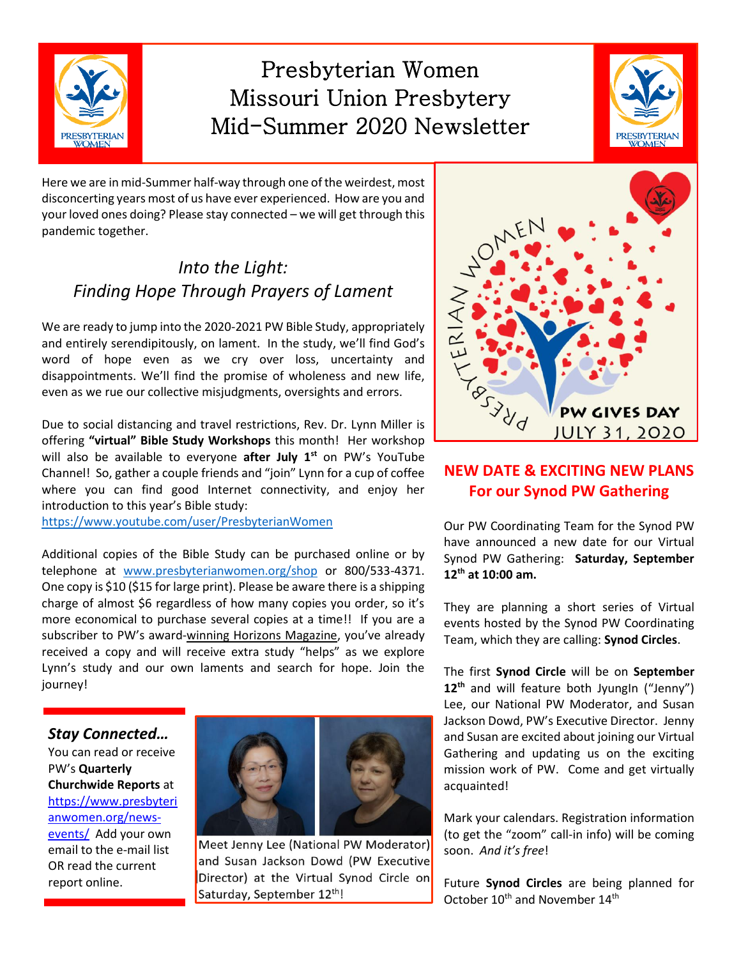

# Presbyterian Women Missouri Union Presbytery Mid-Summer 2020 Newsletter



Here we are in mid-Summer half-way through one of the weirdest, most disconcerting years most of us have ever experienced. How are you and your loved ones doing? Please stay connected – we will get through this pandemic together.

## *Into the Light: Finding Hope Through Prayers of Lament*

We are ready to jump into the 2020-2021 PW Bible Study, appropriately and entirely serendipitously, on lament. In the study, we'll find God's word of hope even as we cry over loss, uncertainty and disappointments. We'll find the promise of wholeness and new life, even as we rue our collective misjudgments, oversights and errors.

Due to social distancing and travel restrictions, Rev. Dr. Lynn Miller is offering **"virtual" Bible Study Workshops** this month! Her workshop will also be available to everyone **after July 1st** on PW's YouTube Channel! So, gather a couple friends and "join" Lynn for a cup of coffee where you can find good Internet connectivity, and enjoy her introduction to this year's Bible study:

<https://www.youtube.com/user/PresbyterianWomen>

Additional copies of the Bible Study can be purchased online or by telephone at [www.presbyterianwomen.org/shop](http://www.presbyterianwomen.org/shop) or 800/533-4371. One copy is \$10 (\$15 for large print). Please be aware there is a shipping charge of almost \$6 regardless of how many copies you order, so it's more economical to purchase several copies at a time!! If you are a subscriber to PW's award-winning Horizons Magazine, you've already received a copy and will receive extra study "helps" as we explore Lynn's study and our own laments and search for hope. Join the journey!

*Stay Connected…*

You can read or receive PW's **Quarterly Churchwide Reports** at [https://www.presbyteri](https://www.presbyterianwomen.org/news-events/) [anwomen.org/news](https://www.presbyterianwomen.org/news-events/)[events/](https://www.presbyterianwomen.org/news-events/) Add your own email to the e-mail list OR read the current report online.



Meet Jenny Lee (National PW Moderator) and Susan Jackson Dowd (PW Executive Director) at the Virtual Synod Circle on Saturday, September 12th!



#### **NEW DATE & EXCITING NEW PLANS For our Synod PW Gathering**

Our PW Coordinating Team for the Synod PW have announced a new date for our Virtual Synod PW Gathering: **Saturday, September 12th at 10:00 am.**

They are planning a short series of Virtual events hosted by the Synod PW Coordinating Team, which they are calling: **Synod Circles**.

The first **Synod Circle** will be on **September**  12<sup>th</sup> and will feature both JyungIn ("Jenny") Lee, our National PW Moderator, and Susan Jackson Dowd, PW's Executive Director. Jenny and Susan are excited about joining our Virtual Gathering and updating us on the exciting mission work of PW. Come and get virtually acquainted!

Mark your calendars. Registration information (to get the "zoom" call-in info) will be coming soon. *And it's free*!

Future **Synod Circles** are being planned for October 10<sup>th</sup> and November 14<sup>th</sup>